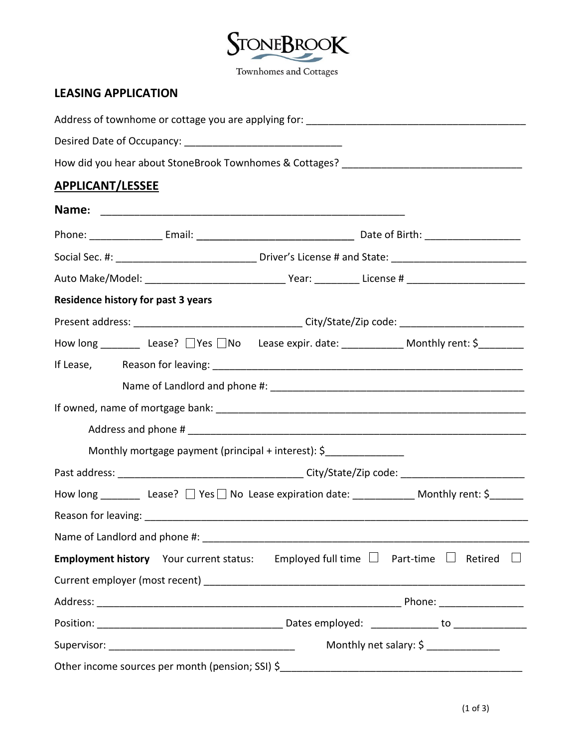

## **LEASING APPLICATION**

| How did you hear about StoneBrook Townhomes & Cottages? _________________________                              |                        |  |  |  |  |
|----------------------------------------------------------------------------------------------------------------|------------------------|--|--|--|--|
| <b>APPLICANT/LESSEE</b>                                                                                        |                        |  |  |  |  |
|                                                                                                                |                        |  |  |  |  |
|                                                                                                                |                        |  |  |  |  |
|                                                                                                                |                        |  |  |  |  |
|                                                                                                                |                        |  |  |  |  |
| <b>Residence history for past 3 years</b>                                                                      |                        |  |  |  |  |
|                                                                                                                |                        |  |  |  |  |
| How long __________ Lease? □ Yes □ No Lease expir. date: _____________ Monthly rent: \$__________              |                        |  |  |  |  |
|                                                                                                                |                        |  |  |  |  |
|                                                                                                                |                        |  |  |  |  |
|                                                                                                                |                        |  |  |  |  |
|                                                                                                                |                        |  |  |  |  |
| Monthly mortgage payment (principal + interest): \$                                                            |                        |  |  |  |  |
|                                                                                                                |                        |  |  |  |  |
| How long ___________ Lease? $\Box$ Yes $\Box$ No Lease expiration date: ______________ Monthly rent: \$_______ |                        |  |  |  |  |
|                                                                                                                |                        |  |  |  |  |
|                                                                                                                |                        |  |  |  |  |
| <b>Employment history</b> Your current status: Employed full time $\Box$ Part-time $\Box$ Retired $\Box$       |                        |  |  |  |  |
|                                                                                                                |                        |  |  |  |  |
|                                                                                                                |                        |  |  |  |  |
|                                                                                                                |                        |  |  |  |  |
|                                                                                                                | Monthly net salary: \$ |  |  |  |  |
| Other income sources per month (pension; SSI) \$                                                               |                        |  |  |  |  |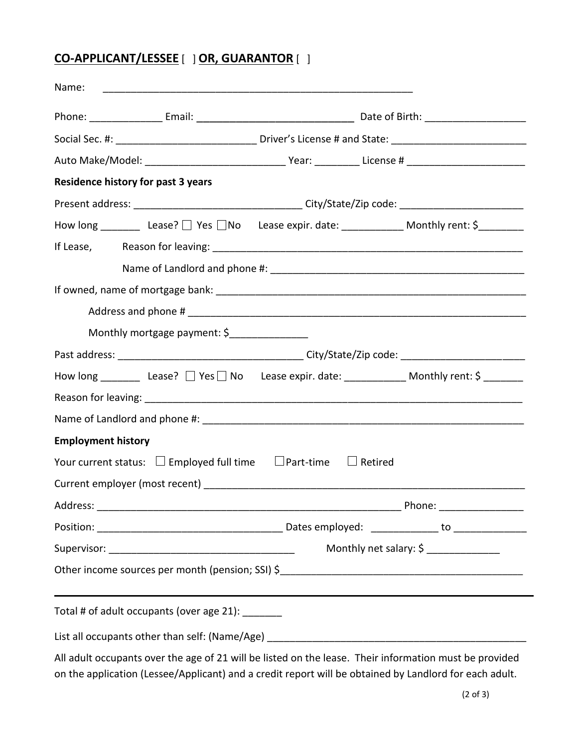## **CO-APPLICANT/LESSEE** [ ] **OR, GUARANTOR** [ ]

| Name:                                                                                                                                 |                        |
|---------------------------------------------------------------------------------------------------------------------------------------|------------------------|
|                                                                                                                                       |                        |
|                                                                                                                                       |                        |
|                                                                                                                                       |                        |
| <b>Residence history for past 3 years</b>                                                                                             |                        |
|                                                                                                                                       |                        |
| How long ___________ Lease? $\Box$ Yes $\Box$ No Lease expir. date: _______________ Monthly rent: $\zeta$ ___________                 |                        |
|                                                                                                                                       |                        |
|                                                                                                                                       |                        |
|                                                                                                                                       |                        |
|                                                                                                                                       |                        |
| Monthly mortgage payment: \$                                                                                                          |                        |
|                                                                                                                                       |                        |
| How long __________ Lease? □ Yes □ No Lease expir. date: _____________ Monthly rent: \$ _________                                     |                        |
|                                                                                                                                       |                        |
|                                                                                                                                       |                        |
| <b>Employment history</b>                                                                                                             |                        |
| Your current status: $\square$ Employed full time $\square$ Part-time $\square$ Retired                                               |                        |
|                                                                                                                                       |                        |
|                                                                                                                                       |                        |
|                                                                                                                                       |                        |
|                                                                                                                                       | Monthly net salary: \$ |
|                                                                                                                                       |                        |
| ,我们也不会有什么。""我们的人,我们也不会有什么?""我们的人,我们也不会有什么?""我们的人,我们也不会有什么?""我们的人,我们也不会有什么?""我们的人<br>Total # of adult occupants (over age 21): _______ |                        |
|                                                                                                                                       |                        |
|                                                                                                                                       |                        |

All adult occupants over the age of 21 will be listed on the lease. Their information must be provided on the application (Lessee/Applicant) and a credit report will be obtained by Landlord for each adult.